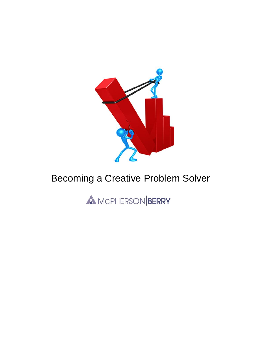

# Becoming a Creative Problem Solver

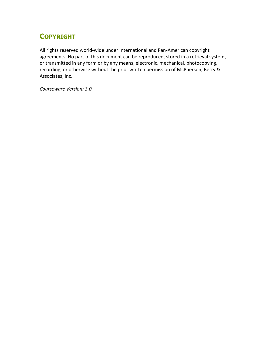# **COPYRIGHT**

All rights reserved world-wide under International and Pan-American copyright agreements. No part of this document can be reproduced, stored in a retrieval system, or transmitted in any form or by any means, electronic, mechanical, photocopying, recording, or otherwise without the prior written permission of McPherson, Berry & Associates, Inc.

*Courseware Version: 3.0*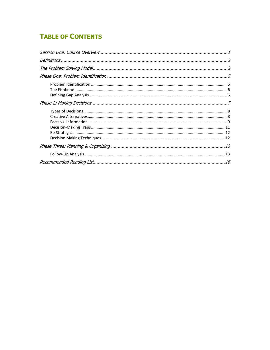# **TABLE OF CONTENTS**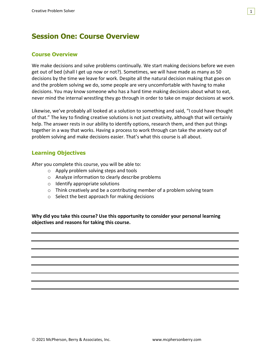# <span id="page-3-0"></span>**Session One: Course Overview**

### **Course Overview**

We make decisions and solve problems continually. We start making decisions before we even get out of bed (shall I get up now or not?). Sometimes, we will have made as many as 50 decisions by the time we leave for work. Despite all the natural decision making that goes on and the problem solving we do, some people are very uncomfortable with having to make decisions. You may know someone who has a hard time making decisions about what to eat, never mind the internal wrestling they go through in order to take on major decisions at work.

1

Likewise, we've probably all looked at a solution to something and said, "I could have thought of that." The key to finding creative solutions is not just creativity, although that will certainly help. The answer rests in our ability to identify options, research them, and then put things together in a way that works. Having a process to work through can take the anxiety out of problem solving and make decisions easier. That's what this course is all about.

### **Learning Objectives**

After you complete this course, you will be able to:

- o Apply problem solving steps and tools
- o Analyze information to clearly describe problems
- $\circ$  Identify appropriate solutions
- $\circ$  Think creatively and be a contributing member of a problem solving team
- o Select the best approach for making decisions

**Why did you take this course? Use this opportunity to consider your personal learning objectives and reasons for taking this course.**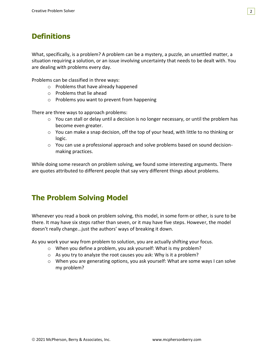# <span id="page-4-0"></span>**Definitions**

What, specifically, is a problem? A problem can be a mystery, a puzzle, an unsettled matter, a situation requiring a solution, or an issue involving uncertainty that needs to be dealt with. You are dealing with problems every day.

Problems can be classified in three ways:

- o Problems that have already happened
- o Problems that lie ahead
- o Problems you want to prevent from happening

There are three ways to approach problems:

- o You can stall or delay until a decision is no longer necessary, or until the problem has become even greater.
- $\circ$  You can make a snap decision, off the top of your head, with little to no thinking or logic.
- $\circ$  You can use a professional approach and solve problems based on sound decisionmaking practices.

While doing some research on problem solving, we found some interesting arguments. There are quotes attributed to different people that say very different things about problems.

## <span id="page-4-1"></span>**The Problem Solving Model**

Whenever you read a book on problem solving, this model, in some form or other, is sure to be there. It may have six steps rather than seven, or it may have five steps. However, the model doesn't really change...just the authors' ways of breaking it down.

As you work your way from problem to solution, you are actually shifting your focus.

- o When you define a problem, you ask yourself: What is my problem?
- o As you try to analyze the root causes you ask: Why is it a problem?
- $\circ$  When you are generating options, you ask yourself: What are some ways I can solve my problem?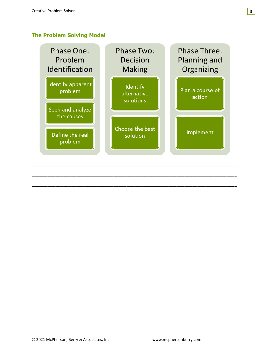### **The Problem Solving Model**

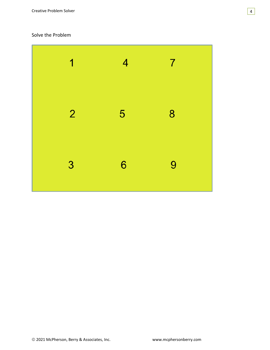### Solve the Problem

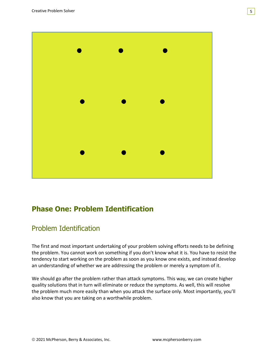

# <span id="page-7-0"></span>**Phase One: Problem Identification**

## <span id="page-7-1"></span>Problem Identification

The first and most important undertaking of your problem solving efforts needs to be defining the problem. You cannot work on something if you don't know what it is. You have to resist the tendency to start working on the problem as soon as you know one exists, and instead develop an understanding of whether we are addressing the problem or merely a symptom of it.

We should go after the problem rather than attack symptoms. This way, we can create higher quality solutions that in turn will eliminate or reduce the symptoms. As well, this will resolve the problem much more easily than when you attack the surface only. Most importantly, you'll also know that you are taking on a worthwhile problem.

5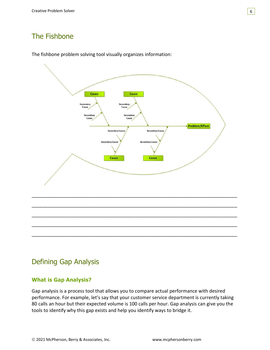# <span id="page-8-0"></span>The Fishbone





\_\_\_\_\_\_\_\_\_\_\_\_\_\_\_\_\_\_\_\_\_\_\_\_\_\_\_\_\_\_\_\_\_\_\_\_\_\_\_\_\_\_\_\_\_\_\_\_\_\_\_\_\_\_\_\_\_\_\_\_\_\_\_\_\_\_\_\_\_\_\_\_\_\_\_\_\_\_

\_\_\_\_\_\_\_\_\_\_\_\_\_\_\_\_\_\_\_\_\_\_\_\_\_\_\_\_\_\_\_\_\_\_\_\_\_\_\_\_\_\_\_\_\_\_\_\_\_\_\_\_\_\_\_\_\_\_\_\_\_\_\_\_\_\_\_\_\_\_\_\_\_\_\_\_\_\_

\_\_\_\_\_\_\_\_\_\_\_\_\_\_\_\_\_\_\_\_\_\_\_\_\_\_\_\_\_\_\_\_\_\_\_\_\_\_\_\_\_\_\_\_\_\_\_\_\_\_\_\_\_\_\_\_\_\_\_\_\_\_\_\_\_\_\_\_\_\_\_\_\_\_\_\_\_\_

\_\_\_\_\_\_\_\_\_\_\_\_\_\_\_\_\_\_\_\_\_\_\_\_\_\_\_\_\_\_\_\_\_\_\_\_\_\_\_\_\_\_\_\_\_\_\_\_\_\_\_\_\_\_\_\_\_\_\_\_\_\_\_\_\_\_\_\_\_\_\_\_\_\_\_\_\_\_

\_\_\_\_\_\_\_\_\_\_\_\_\_\_\_\_\_\_\_\_\_\_\_\_\_\_\_\_\_\_\_\_\_\_\_\_\_\_\_\_\_\_\_\_\_\_\_\_\_\_\_\_\_\_\_\_\_\_\_\_\_\_\_\_\_\_\_\_\_\_\_\_\_\_\_\_\_\_

## <span id="page-8-1"></span>Defining Gap Analysis

### **What is Gap Analysis?**

Gap analysis is a process tool that allows you to compare actual performance with desired performance. For example, let's say that your customer service department is currently taking 80 calls an hour but their expected volume is 100 calls per hour. Gap analysis can give you the tools to identify why this gap exists and help you identify ways to bridge it.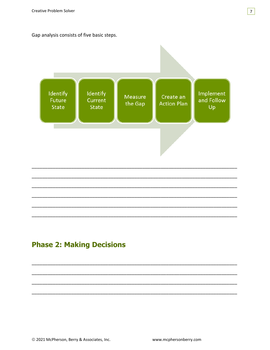Gap analysis consists of five basic steps.



# <span id="page-9-0"></span>**Phase 2: Making Decisions**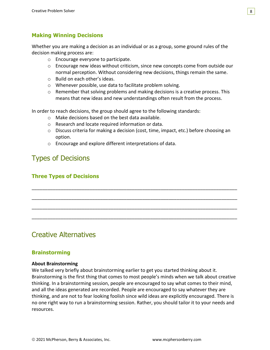### **Making Winning Decisions**

Whether you are making a decision as an individual or as a group, some ground rules of the decision making process are:

- o Encourage everyone to participate.
- $\circ$  Encourage new ideas without criticism, since new concepts come from outside our normal perception. Without considering new decisions, things remain the same.
- o Build on each other's ideas.
- o Whenever possible, use data to facilitate problem solving.
- $\circ$  Remember that solving problems and making decisions is a creative process. This means that new ideas and new understandings often result from the process.

In order to reach decisions, the group should agree to the following standards:

- o Make decisions based on the best data available.
- o Research and locate required information or data.
- o Discuss criteria for making a decision (cost, time, impact, etc.) before choosing an option.

\_\_\_\_\_\_\_\_\_\_\_\_\_\_\_\_\_\_\_\_\_\_\_\_\_\_\_\_\_\_\_\_\_\_\_\_\_\_\_\_\_\_\_\_\_\_\_\_\_\_\_\_\_\_\_\_\_\_\_\_\_\_\_\_\_\_\_\_\_\_\_\_\_\_\_\_\_\_

\_\_\_\_\_\_\_\_\_\_\_\_\_\_\_\_\_\_\_\_\_\_\_\_\_\_\_\_\_\_\_\_\_\_\_\_\_\_\_\_\_\_\_\_\_\_\_\_\_\_\_\_\_\_\_\_\_\_\_\_\_\_\_\_\_\_\_\_\_\_\_\_\_\_\_\_\_\_

\_\_\_\_\_\_\_\_\_\_\_\_\_\_\_\_\_\_\_\_\_\_\_\_\_\_\_\_\_\_\_\_\_\_\_\_\_\_\_\_\_\_\_\_\_\_\_\_\_\_\_\_\_\_\_\_\_\_\_\_\_\_\_\_\_\_\_\_\_\_\_\_\_\_\_\_\_\_

\_\_\_\_\_\_\_\_\_\_\_\_\_\_\_\_\_\_\_\_\_\_\_\_\_\_\_\_\_\_\_\_\_\_\_\_\_\_\_\_\_\_\_\_\_\_\_\_\_\_\_\_\_\_\_\_\_\_\_\_\_\_\_\_\_\_\_\_\_\_\_\_\_\_\_\_\_\_

o Encourage and explore different interpretations of data.

### <span id="page-10-0"></span>Types of Decisions

### **Three Types of Decisions**

### <span id="page-10-1"></span>Creative Alternatives

#### **Brainstorming**

#### **About Brainstorming**

We talked very briefly about brainstorming earlier to get you started thinking about it. Brainstorming is the first thing that comes to most people's minds when we talk about creative thinking. In a brainstorming session, people are encouraged to say what comes to their mind, and all the ideas generated are recorded. People are encouraged to say whatever they are thinking, and are not to fear looking foolish since wild ideas are explicitly encouraged. There is no one right way to run a brainstorming session. Rather, you should tailor it to your needs and resources.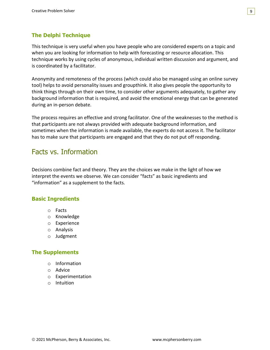### **The Delphi Technique**

This technique is very useful when you have people who are considered experts on a topic and when you are looking for information to help with forecasting or resource allocation. This technique works by using cycles of anonymous, individual written discussion and argument, and is coordinated by a facilitator.

Anonymity and remoteness of the process (which could also be managed using an online survey tool) helps to avoid personality issues and groupthink. It also gives people the opportunity to think things through on their own time, to consider other arguments adequately, to gather any background information that is required, and avoid the emotional energy that can be generated during an in-person debate.

The process requires an effective and strong facilitator. One of the weaknesses to the method is that participants are not always provided with adequate background information, and sometimes when the information is made available, the experts do not access it. The facilitator has to make sure that participants are engaged and that they do not put off responding.

### <span id="page-11-0"></span>Facts vs. Information

Decisions combine fact and theory. They are the choices we make in the light of how we interpret the events we observe. We can consider "facts" as basic ingredients and "information" as a supplement to the facts.

### **Basic Ingredients**

- o Facts
- o Knowledge
- o Experience
- o Analysis
- o Judgment

#### **The Supplements**

- o Information
- o Advice
- o Experimentation
- o Intuition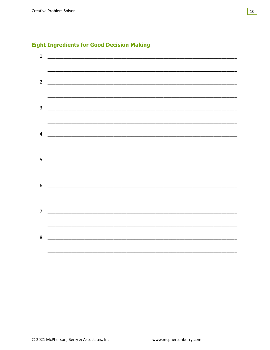|  | 1.                            |  |
|--|-------------------------------|--|
|  |                               |  |
|  | 2. $\qquad \qquad$            |  |
|  |                               |  |
|  |                               |  |
|  | $\frac{1}{2}$                 |  |
|  |                               |  |
|  | 4. $\overline{\phantom{a}}$   |  |
|  |                               |  |
|  | $5.$ $\overline{\phantom{a}}$ |  |
|  |                               |  |
|  | $6.$ $\overline{\phantom{a}}$ |  |
|  |                               |  |
|  | 7.                            |  |
|  |                               |  |
|  | 8.                            |  |
|  |                               |  |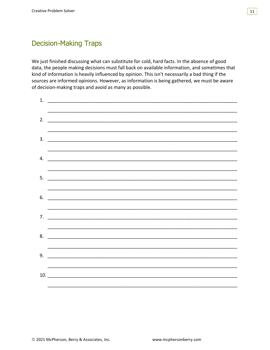

### <span id="page-13-0"></span>**Decision-Making Traps**

We just finished discussing what can substitute for cold, hard facts. In the absence of good data, the people making decisions must fall back on available information, and sometimes that kind of information is heavily influenced by opinion. This isn't necessarily a bad thing if the sources are informed opinions. However, as information is being gathered, we must be aware of decision-making traps and avoid as many as possible.

| 1. |                               |  |
|----|-------------------------------|--|
|    |                               |  |
|    |                               |  |
|    |                               |  |
| 3. |                               |  |
|    |                               |  |
| 4. |                               |  |
|    |                               |  |
| 5. |                               |  |
|    |                               |  |
| 6. |                               |  |
|    |                               |  |
| 7. |                               |  |
|    |                               |  |
|    | $8.$ $\overline{\phantom{a}}$ |  |
|    |                               |  |
| 9. |                               |  |
|    |                               |  |
|    | 10.                           |  |
|    |                               |  |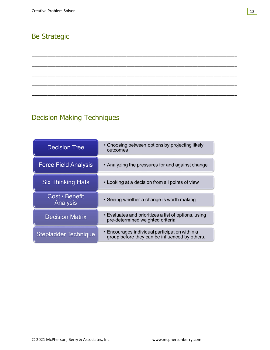# <span id="page-14-0"></span>**Be Strategic**

# <span id="page-14-1"></span>**Decision Making Techniques**

| <b>Decision Tree</b>                     | • Choosing between options by projecting likely<br>outcomes                                      |
|------------------------------------------|--------------------------------------------------------------------------------------------------|
| <b>Force Field Analysis</b>              | • Analyzing the pressures for and against change                                                 |
| <b>Six Thinking Hats</b>                 | • Looking at a decision from all points of view                                                  |
| <b>Cost / Benefit</b><br><b>Analysis</b> | • Seeing whether a change is worth making                                                        |
| <b>Decision Matrix</b>                   | • Evaluates and prioritizes a list of options, using<br>pre-determined weighted criteria         |
| <b>Stepladder Technique</b>              | • Encourages individual participation within a<br>group before they can be influenced by others. |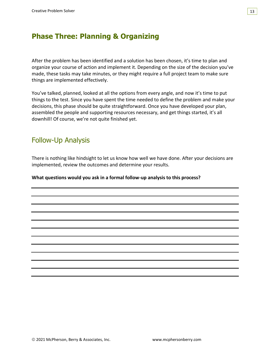

### <span id="page-15-0"></span>**Phase Three: Planning & Organizing**

After the problem has been identified and a solution has been chosen, it's time to plan and organize your course of action and implement it. Depending on the size of the decision you've made, these tasks may take minutes, or they might require a full project team to make sure things are implemented effectively.

You've talked, planned, looked at all the options from every angle, and now it's time to put things to the test. Since you have spent the time needed to define the problem and make your decisions, this phase should be quite straightforward. Once you have developed your plan, assembled the people and supporting resources necessary, and get things started, it's all downhill! Of course, we're not quite finished yet.

### <span id="page-15-1"></span>Follow-Up Analysis

There is nothing like hindsight to let us know how well we have done. After your decisions are implemented, review the outcomes and determine your results.

**What questions would you ask in a formal follow-up analysis to this process?**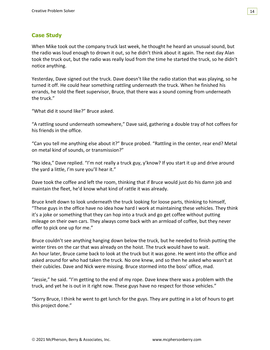#### 14

### **Case Study**

When Mike took out the company truck last week, he thought he heard an unusual sound, but the radio was loud enough to drown it out, so he didn't think about it again. The next day Alan took the truck out, but the radio was really loud from the time he started the truck, so he didn't notice anything.

Yesterday, Dave signed out the truck. Dave doesn't like the radio station that was playing, so he turned it off. He could hear something rattling underneath the truck. When he finished his errands, he told the fleet supervisor, Bruce, that there was a sound coming from underneath the truck."

"What did it sound like?" Bruce asked.

"A rattling sound underneath somewhere," Dave said, gathering a double tray of hot coffees for his friends in the office.

"Can you tell me anything else about it?" Bruce probed. "Rattling in the center, rear end? Metal on metal kind of sounds, or transmission?"

"No idea," Dave replied. "I'm not really a truck guy, y'know? If you start it up and drive around the yard a little, I'm sure you'll hear it."

Dave took the coffee and left the room, thinking that if Bruce would just do his damn job and maintain the fleet, he'd know what kind of rattle it was already.

Bruce knelt down to look underneath the truck looking for loose parts, thinking to himself, "These guys in the office have no idea how hard I work at maintaining these vehicles. They think it's a joke or something that they can hop into a truck and go get coffee without putting mileage on their own cars. They always come back with an armload of coffee, but they never offer to pick one up for me."

Bruce couldn't see anything hanging down below the truck, but he needed to finish putting the winter tires on the car that was already on the hoist. The truck would have to wait. An hour later, Bruce came back to look at the truck but it was gone. He went into the office and asked around for who had taken the truck. No one knew, and so then he asked who wasn't at their cubicles. Dave and Nick were missing. Bruce stormed into the boss' office, mad.

"Jessie," he said. "I'm getting to the end of my rope. Dave knew there was a problem with the truck, and yet he is out in it right now. These guys have no respect for those vehicles."

"Sorry Bruce, I think he went to get lunch for the guys. They are putting in a lot of hours to get this project done."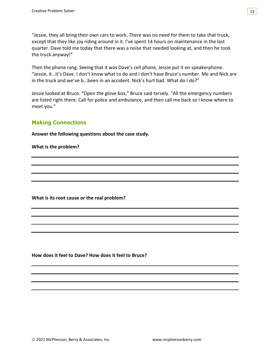"Jessie, they all bring their own cars to work. There was no need for them to take that truck, except that they like joy riding around in it. I've spent 14 hours on maintenance in the last quarter. Dave told me today that there was a noise that needed looking at, and then he took the truck anyway!"

Then the phone rang. Seeing that it was Dave's cell phone, Jessie put it on speakerphone. "Jessie, it…it's Dave. I don't know what to do and I don't have Bruce's number. Me and Nick are in the truck and we've b...been in an accident. Nick's hurt bad. What do I do?"

Jessie looked at Bruce. "Open the glove box," Bruce said tersely. "All the emergency numbers are listed right there. Call for police and ambulance, and then call me back so I know where to meet you."

### **Making Connections**

**Answer the following questions about the case study.**

**What is the problem?**

**What is its root cause or the real problem?**

**How does it feel to Dave? How does it feel to Bruce?**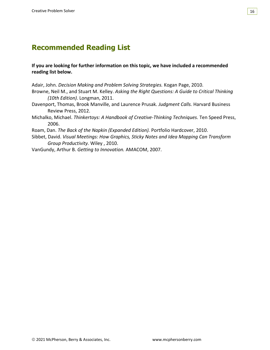#### 16

# <span id="page-18-0"></span>**Recommended Reading List**

#### **If you are looking for further information on this topic, we have included a recommended reading list below.**

Adair, John. *Decision Making and Problem Solving Strategies.* Kogan Page, 2010. Browne, Neil M., and Stuart M. Kelley. *Asking the Right Questions: A Guide to Critical Thinking (10th Edition).* Longman, 2011.

- Davenport, Thomas, Brook Manville, and Laurence Prusak. *Judgment Calls.* Harvard Business Review Press, 2012.
- Michalko, Michael. *Thinkertoys: A Handbook of Creative-Thinking Techniques.* Ten Speed Press, 2006.
- Roam, Dan. *The Back of the Napkin (Expanded Edition).* Portfolio Hardcover, 2010.
- Sibbet, David. *Visual Meetings: How Graphics, Sticky Notes and Idea Mapping Can Transform Group Productivity.* Wiley , 2010.
- VanGundy, Arthur B. *Getting to Innovation.* AMACOM, 2007.